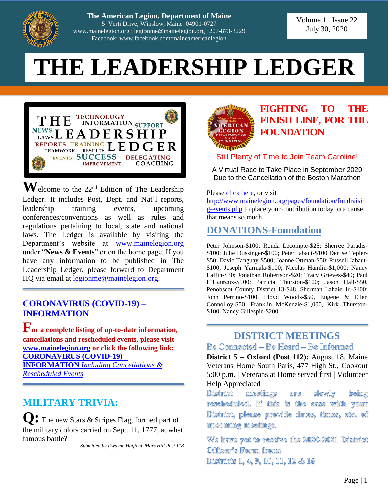

**The American Legion, Department of Maine** 5 Verti Drive, Winslow, Maine 04901-0727 [www.mainelegion.org](http://www.mainelegion.org/) | [legionme@mainelegion.org](mailto:legionme@mainelegion.org) | 207-873-3229 Facebook: www.facebook.com/maineamericanlegion

Volume 1 Issue 22 July 30, 2020

# **THE LEADERSHIP LEDGER**



 $\mathbf{W}$ elcome to the 22<sup>nd</sup> Edition of The Leadership Ledger. It includes Post, Dept. and Nat'l reports, leadership training events, upcoming conferences/conventions as well as rules and regulations pertaining to local, state and national laws. The Ledger is available by visiting the Department's website at [www.mainelegion.org](http://www.mainelegion.org/) under "**News & Events**" or on the home page. If you have any information to be published in The Leadership Ledger, please forward to Department HQ via email at <u>legionme@mainelegion.org.</u>

#### **[CORONAVIRUS \(COVID-19\) –](http://www.mainelegion.org/pages/news-events/covid-19-info.php) [INFORMATION](http://www.mainelegion.org/pages/news-events/covid-19-info.php)**

**For a complete listing of up-to-date information, cancellations and rescheduled events, please visit [www.mainelegion.org](http://www.mainelegion.org/) or click the following link: [CORONAVIRUS \(COVID-19\) –](http://www.mainelegion.org/pages/news-events/covid-19-info.php) INFORMATION** *[Including Cancellations &](http://www.mainelegion.org/pages/news-events/covid-19-info.php)  [Rescheduled Events](http://www.mainelegion.org/pages/news-events/covid-19-info.php)*

## **MILITARY TRIVIA:**

**Q:** The new Stars & Stripes Flag, formed part of the military colors carried on Sept. 11, 1777, at what famous battle?

*Submitted by Dwayne Hatfield, Mars Hill Post 118*



## **[FIGHTING TO THE](https://www.gofundme.com/f/5hx779-a-cause-i-care-about-needs-help?utm_source=customer&utm_medium=copy_link&utm_campaign=p_cf+share-flow-1)  [FINISH LINE, FOR THE](https://www.gofundme.com/f/5hx779-a-cause-i-care-about-needs-help?utm_source=customer&utm_medium=copy_link&utm_campaign=p_cf+share-flow-1)  [FOUNDATION](https://www.gofundme.com/f/5hx779-a-cause-i-care-about-needs-help?utm_source=customer&utm_medium=copy_link&utm_campaign=p_cf+share-flow-1)**

#### Still Plenty of Time to Join Team Caroline!

A Virtual Race to Take Place in September 2020 Due to the Cancellation of the Boston Marathon

Please [click here,](https://www.gofundme.com/f/5hx779-a-cause-i-care-about-needs-help?utm_source=customer&utm_medium=copy_link&utm_campaign=p_cf+share-flow-1) or visit

[http://www.mainelegion.org/pages/foundation/fundraisin](http://www.mainelegion.org/pages/foundation/fundraising-events.php) [g-events.php](http://www.mainelegion.org/pages/foundation/fundraising-events.php) to place your contribution today to a cause that means so much!

## **DONATIONS-Foundation**

Peter Johnson-\$100; Ronda Lecompte-\$25; Sherree Paradis- \$100; Julie Dussinger-\$100; Peter Jabaut-\$100 Denise Tepler- \$50; David Tanguay-\$500; Joanne Ottman-\$50; Russell Jabaut- \$100; Joseph Yarmala-\$100; Nicolas Hamlin-\$1,000; Nancy Laffin-\$30; Jonathan Robertson-\$20; Tracy Grieves-\$40; Paul L'Heureux-\$500; Patricia Thurston-\$100; Jason Hall-\$50, Penobscot County District 13-\$48, Sherman Lahaie Jr.-\$100; John Perrino-\$100, Lloyd Woods-\$50, Eugene & Ellen Connolloy-\$50, Franklin McKenzie-\$1,000, Kirk Thurston- \$100, Nancy Gillespie-\$200

#### **DISTRICT MEETINGS** Be Comnected – Be Heard – Be Informed

**District 5 – Oxford (Post 112):** August 18, Maine Veterans Home South Paris, 477 High St., Cookout 5:00 p.m. | Veterans at Home served first | Volunteer Help Appreciated

District meetings are slowly beimg rescheduled. Iff this is the case with your District, please provide dates, times, etc. of urpcoming meetings.

We have yet to receive the 2020-2021 District Officer's Form from: Districts 1, 4, 9, 10, 11, 12 & 16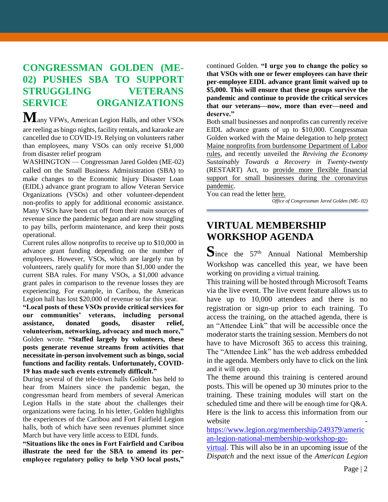## **CONGRESSMAN GOLDEN (ME-02) PUSHES SBA TO SUPPORT STRUGGLING VETERANS SERVICE ORGANIZATIONS**

**M**any VFWs, American Legion Halls, and other VSOs are reeling as bingo nights, facility rentals, and karaoke are cancelled due to COVID-19. Relying on volunteers rather than employees, many VSOs can only receive \$1,000 from disaster relief program

WASHINGTON — Congressman Jared Golden (ME-02) [called on](https://golden.house.gov/sites/golden.house.gov/files/Letter%20to%20SBA%20COVID%20EIDL%20Grant_v3.pdf) the Small Business Administration (SBA) to make changes to the Economic Injury Disaster Loan (EIDL) advance grant program to allow Veteran Service Organizations (VSOs) and other volunteer-dependent non-profits to apply for additional economic assistance. Many VSOs have been cut off from their main sources of revenue since the pandemic began and are now struggling to pay bills, perform maintenance, and keep their posts operational.

Current rules allow nonprofits to receive up to \$10,000 in advance grant funding depending on the number of employees. However, VSOs, which are largely run by volunteers, rarely qualify for more than \$1,000 under the current SBA rules. For many VSOs, a \$1,000 advance grant pales in comparison to the revenue losses they are experiencing. For example, in Caribou, the American Legion hall has lost \$20,000 of revenue so far this year.

**"Local posts of these VSOs provide critical services for our communities' veterans, including personal assistance, donated goods, disaster relief, volunteerism, networking, advocacy and much more,"** Golden wrote. **"Staffed largely by volunteers, these posts generate revenue streams from activities that necessitate in-person involvement such as bingo, social functions and facility rentals. Unfortunately, COVID-19 has made such events extremely difficult."**

During several of the tele-town halls Golden has held to hear from Mainers since the pandemic began, the congressman heard from members of several American Legion Halls in the state about the challenges their organizations were facing. In his letter, Golden highlights the experiences of the Caribou and Fort Fairfield Legion halls, both of which have seen revenues plummet since March but have very little access to EIDL funds.

**"Situations like the ones in Fort Fairfield and Caribou illustrate the need for the SBA to amend its peremployee regulatory policy to help VSO local posts,"**

continued Golden. **"I urge you to change the policy so that VSOs with one or fewer employees can have their per-employee EIDL advance grant limit waived up to \$5,000. This will ensure that these groups survive the pandemic and continue to provide the critical services that our veterans—now, more than ever—need and deserve."**

Both small businesses and nonprofits can currently receive EIDL advance grants of up to \$10,000. Congressman Golden worked with the Maine delegation to help [protect](https://golden.house.gov/media/press-releases/maine-delegation-calls-department-labor-change-guidance-protect-nonprofits)  [Maine nonprofits from burdensome Department of Labor](https://golden.house.gov/media/press-releases/maine-delegation-calls-department-labor-change-guidance-protect-nonprofits)  [rules,](https://golden.house.gov/media/press-releases/maine-delegation-calls-department-labor-change-guidance-protect-nonprofits) and recently unveiled the *Reviving the Economy Sustainably Towards a Recovery in Twenty-twenty* (RESTART) Act, to [provide more flexible financial](https://golden.house.gov/media/press-releases/golden-kelly-introduce-bill-create-successor-ppp-program-provide-flexible-long)  support for small businesses during the coronavirus [pandemic.](https://golden.house.gov/media/press-releases/golden-kelly-introduce-bill-create-successor-ppp-program-provide-flexible-long)

You can read the letter [here.](https://golden.house.gov/sites/golden.house.gov/files/Letter%20to%20SBA%20COVID%20EIDL%20Grant_v3.pdf)

*Office of Congressman Jared Golden (ME- 02)*

## **VIRTUAL MEMBERSHIP WORKSHOP AGENDA**

Since the 57<sup>th</sup> Annual National Membership Workshop was cancelled this year, we have been working on providing a virtual training.

This training will be hosted through Microsoft Teams via the live event. The live event feature allows us to have up to 10,000 attendees and there is no registration or sign-up prior to each training. To access the training, on the attached agenda, there is an "Attendee Link" that will be accessible once the moderator starts the training session. Members do not have to have Microsoft 365 to access this training. The "Attendee Link" has the web address embedded in the agenda. Members only have to click on the link and it will open up.

The theme around this training is centered around posts. This will be opened up 30 minutes prior to the training. These training modules will start on the scheduled time and there will be enough time for Q&A. Here is the link to access this information from our website

[https://www.legion.org/membership/249379/americ](https://www.legion.org/membership/249379/american-legion-national-membership-workshop-go-virtual) [an-legion-national-membership-workshop-go-](https://www.legion.org/membership/249379/american-legion-national-membership-workshop-go-virtual)

[virtual.](https://www.legion.org/membership/249379/american-legion-national-membership-workshop-go-virtual) This will also be in an upcoming issue of the *Dispatch* and the next issue of the *American Legion*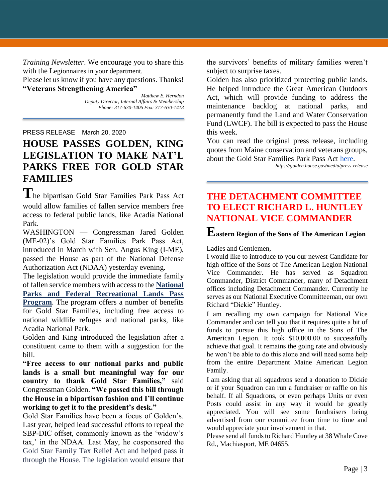*Training Newsletter*. We encourage you to share this with the Legionnaires in your department.

Please let us know if you have any questions. Thanks! **"Veterans Strengthening America"**

> *Matthew E. Herndon Deputy Director, Internal Affairs & Membership Phone: 317-630-1406 Fax: 317-630-1413*

PRESS RELEASE – March 20, 2020

## **HOUSE PASSES GOLDEN, KING LEGISLATION TO MAKE NAT'L PARKS FREE FOR GOLD STAR FAMILIES**

**T**he bipartisan Gold Star Families Park Pass Act would allow families of fallen service members free access to federal public lands, like Acadia National Park.

WASHINGTON — Congressman Jared Golden (ME-02)'s Gold Star Families Park Pass Act, introduced in March with Sen. Angus King (I-ME), passed the House as part of the National Defense Authorization Act (NDAA) yesterday evening.

The legislation would provide the immediate family of fallen service members with access to the **[National](https://www.nps.gov/cuga/planyourvisit/national-parks-and-federal-recreational-lands-pass-program.htm)  [Parks and Federal Recreational Lands Pass](https://www.nps.gov/cuga/planyourvisit/national-parks-and-federal-recreational-lands-pass-program.htm)  [Program](https://www.nps.gov/cuga/planyourvisit/national-parks-and-federal-recreational-lands-pass-program.htm)**. The program offers a number of benefits for Gold Star Families, including free access to national wildlife refuges and national parks, like Acadia National Park.

Golden and King introduced the legislation after a constituent came to them with a suggestion for the bill.

**"Free access to our national parks and public lands is a small but meaningful way for our country to thank Gold Star Families,"** said Congressman Golden. **"We passed this bill through the House in a bipartisan fashion and I'll continue working to get it to the president's desk."**

Gold Star Families have been a focus of Golden's. Last year, helped lead successful efforts to repeal the SBP-DIC offset, commonly known as the 'widow's tax,' in the NDAA. Last May, he cosponsored the Gold Star Family Tax Relief Act and helped pass it through the House. The legislation would ensure that

the survivors' benefits of military families weren't subject to surprise taxes.

Golden has also prioritized protecting public lands. He helped introduce the Great American Outdoors Act, which will provide funding to address the maintenance backlog at national parks, and permanently fund the Land and Water Conservation Fund (LWCF). The bill is expected to pass the House this week.

You can read the original press release, including quotes from Maine conservation and veterans groups, about the Gold Star Families Park Pass Act [here.](https://golden.house.gov/media/press-releases/golden-king-introducing-bipartisan-bill-make-national-parks-free-gold-star)

*https://golden.house.gov/media/press-release*

#### **THE DETACHMENT COMMITTEE TO ELECT RICHARD L. HUNTLEY NATIONAL VICE COMMANDER**

#### **Eastern Region of the Sons of The American Legion**

Ladies and Gentlemen,

I would like to introduce to you our newest Candidate for high office of the Sons of The American Legion National Vice Commander. He has served as Squadron Commander, District Commander, many of Detachment offices including Detachment Commander. Currently he serves as our National Executive Committeeman, our own Richard "Dickie" Huntley.

I am recalling my own campaign for National Vice Commander and can tell you that it requires quite a bit of funds to pursue this high office in the Sons of The American Legion. It took \$10,000.00 to successfully achieve that goal. It remains the going rate and obviously he won't be able to do this alone and will need some help from the entire Department Maine American Legion Family.

I am asking that all squadrons send a donation to Dickie or if your Squadron can run a fundraiser or raffle on his behalf. If all Squadrons, or even perhaps Units or even Posts could assist in any way it would be greatly appreciated. You will see some fundraisers being advertised from our committee from time to time and would appreciate your involvement in that.

Please send all funds to Richard Huntley at 38 Whale Cove Rd., Machiasport, ME 04655.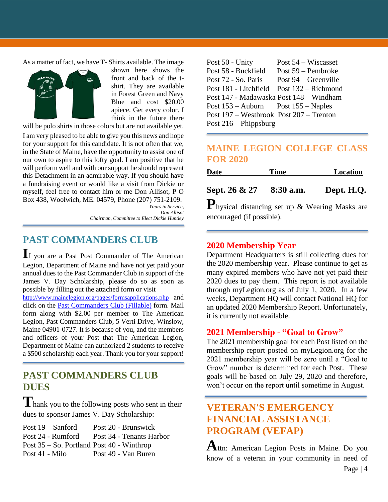As a matter of fact, we have T- Shirts available. The image



shown here shows the front and back of the tshirt. They are available in Forest Green and Navy Blue and cost \$20.00 apiece. Get every color. I think in the future there

will be polo shirts in those colors but are not available yet.

I am very pleased to be able to give you this news and hope for your support for this candidate. It is not often that we, in the State of Maine, have the opportunity to assist one of our own to aspire to this lofty goal. I am positive that he will perform well and with our support he should represent this Detachment in an admirable way. If you should have a fundraising event or would like a visit from Dickie or myself, feel free to contact him or me Don Allisot, P O Box 438, Woolwich, ME. 04579, Phone (207) 751-2109. *Yours in Service,*

*Don Allisot*

*Chairman, Committee to Elect Dickie Huntley*

#### **PAST COMMANDERS CLUB**

**I**f you are a Past Post Commander of The American Legion, Department of Maine and have not yet paid your annual dues to the Past Commander Club in support of the James V. Day Scholarship, please do so as soon as possible by filling out the attached form or visit

<http://www.mainelegion.org/pages/formsapplications.php> and click on the [Past Commanders Club \(Fillable\)](http://www.mainelegion.org/media/LEADERSHIP_LEDGER/PCC_2018_FILLABLE_2.pdf) form. Mail form along with \$2.00 per member to The American Legion, Past Commanders Club, 5 Verti Drive, Winslow, Maine 04901-0727. It is because of you, and the members and officers of your Post that The American Legion, Department of Maine can authorized 2 students to receive a \$500 scholarship each year. Thank you for your support!

## **PAST COMMANDERS CLUB DUES**

**T**hank you to the following posts who sent in their dues to sponsor James V. Day Scholarship:

| Post $19 -$ Sanford                           | Post 20 - Brunswick      |
|-----------------------------------------------|--------------------------|
| Post 24 - Rumford                             | Post 34 - Tenants Harbor |
| Post $35 -$ So. Portland Post $40$ - Winthrop |                          |
| Post 41 - Milo                                | Post 49 - Van Buren      |

| Post 50 - Unity                             | Post 54 – Wiscasset    |
|---------------------------------------------|------------------------|
| Post 58 - Buckfield                         | Post 59 – Pembroke     |
| Post 72 - So. Paris                         | Post $94$ – Greenville |
| Post 181 - Litchfield                       | Post $132 -$ Richmond  |
| Post 147 - Madawaska Post 148 – Windham     |                        |
| Post $153 -$ Auburn Post $155 -$ Naples     |                        |
| Post $197 -$ Westbrook Post $207 -$ Trenton |                        |
| Post $216$ – Phippsburg                     |                        |

#### **MAINE LEGION COLLEGE CLASS FOR 2020**

| Date | <b>Time</b> | Location |
|------|-------------|----------|
|      |             |          |

**Sept. 26 & 27 8:30 a.m. Dept. H.Q.**

**P**hysical distancing set up & Wearing Masks are encouraged (if possible).

#### **2020 Membership Year**

Department Headquarters is still collecting dues for the 2020 membership year. Please continue to get as many expired members who have not yet paid their 2020 dues to pay them. This report is not available through myLegion.org as of July 1, 2020. In a few weeks, Department HQ will contact National HQ for an updated 2020 Membership Report. Unfortunately, it is currently not available.

#### **2021 Membership - "Goal to Grow"**

The 2021 membership goal for each Post listed on the membership report posted on myLegion.org for the 2021 membership year will be zero until a "Goal to Grow" number is determined for each Post. These goals will be based on July 29, 2020 and therefore, won't occur on the report until sometime in August.

## **VETERAN'S EMERGENCY FINANCIAL ASSISTANCE PROGRAM (VEFAP)**

**A**ttn: American Legion Posts in Maine. Do you know of a veteran in your community in need of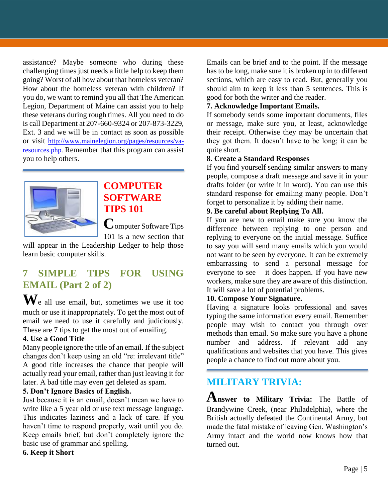assistance? Maybe someone who during these challenging times just needs a little help to keep them going? Worst of all how about that homeless veteran? How about the homeless veteran with children? If you do, we want to remind you all that The American Legion, Department of Maine can assist you to help these veterans during rough times. All you need to do is call Department at 207-660-9324 or 207-873-3229, Ext. 3 and we will be in contact as soon as possible or visit [http://www.mainelegion.org/pages/resources/va](http://www.mainelegion.org/pages/resources/va-resources.php)[resources.php.](http://www.mainelegion.org/pages/resources/va-resources.php) Remember that this program can assist you to help others.



## **COMPUTER SOFTWARE TIPS 101**

**C**omputer Software Tips 101 is a new section that

will appear in the Leadership Ledger to help those learn basic computer skills.

## **7 SIMPLE TIPS FOR USING EMAIL (Part 2 of 2)**

**W**e all use email, but, sometimes we use it too much or use it inappropriately. To get the most out of email we need to use it carefully and judiciously. These are 7 tips to get the most out of emailing.

#### **4. Use a Good Title**

Many people ignore the title of an email. If the subject changes don't keep using an old "re: irrelevant title" A good title increases the chance that people will actually read your email, rather than just leaving it for later. A bad title may even get deleted as spam.

#### **5. Don't Ignore Basics of English.**

Just because it is an email, doesn't mean we have to write like a 5 year old or use text message language. This indicates laziness and a lack of care. If you haven't time to respond properly, wait until you do. Keep emails brief, but don't completely ignore the basic use of grammar and spelling.

**6. Keep it Short**

Emails can be brief and to the point. If the message has to be long, make sure it is broken up in to different sections, which are easy to read. But, generally you should aim to keep it less than 5 sentences. This is good for both the writer and the reader.

#### **7. Acknowledge Important Emails.**

If somebody sends some important documents, files or message, make sure you, at least, acknowledge their receipt. Otherwise they may be uncertain that they got them. It doesn't have to be long; it can be quite short.

#### **8. Create a Standard Responses**

If you find yourself sending similar answers to many people, compose a draft message and save it in your drafts folder (or write it in word). You can use this standard response for emailing many people. Don't forget to personalize it by adding their name.

#### **9. Be careful about Replying To All.**

If you are new to email make sure you know the difference between replying to one person and replying to everyone on the initial message. Suffice to say you will send many emails which you would not want to be seen by everyone. It can be extremely embarrassing to send a personal message for everyone to see  $-$  it does happen. If you have new workers, make sure they are aware of this distinction. It will save a lot of potential problems.

#### **10. Compose Your Signature.**

Having a signature looks professional and saves typing the same information every email. Remember people may wish to contact you through over methods than email. So make sure you have a phone number and address. If relevant add any qualifications and websites that you have. This gives people a chance to find out more about you.

## **MILITARY TRIVIA:**

**Answer to Military Trivia:** The Battle of Brandywine Creek, (near Philadelphia), where the British actually defeated the Continental Army, but made the fatal mistake of leaving Gen. Washington's Army intact and the world now knows how that turned out.